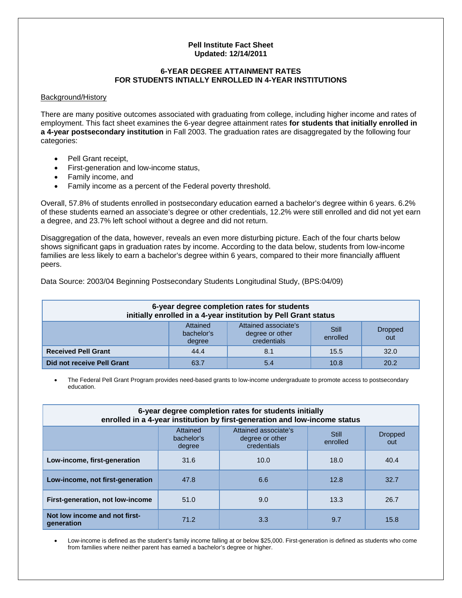## **Pell Institute Fact Sheet Updated: 12/14/2011**

## **6-YEAR DEGREE ATTAINMENT RATES FOR STUDENTS INTIALLY ENROLLED IN 4-YEAR INSTITUTIONS**

## Background/History

There are many positive outcomes associated with graduating from college, including higher income and rates of employment. This fact sheet examines the 6-year degree attainment rates **for students that initially enrolled in a 4-year postsecondary institution** in Fall 2003. The graduation rates are disaggregated by the following four categories:

- Pell Grant receipt,
- First-generation and low-income status,
- Family income, and
- Family income as a percent of the Federal poverty threshold.

Overall, 57.8% of students enrolled in postsecondary education earned a bachelor's degree within 6 years. 6.2% of these students earned an associate's degree or other credentials, 12.2% were still enrolled and did not yet earn a degree, and 23.7% left school without a degree and did not return.

Disaggregation of the data, however, reveals an even more disturbing picture. Each of the four charts below shows significant gaps in graduation rates by income. According to the data below, students from low-income families are less likely to earn a bachelor's degree within 6 years, compared to their more financially affluent peers.

| 6-year degree completion rates for students<br>initially enrolled in a 4-year institution by Pell Grant status |                                  |                                                        |                   |                       |  |
|----------------------------------------------------------------------------------------------------------------|----------------------------------|--------------------------------------------------------|-------------------|-----------------------|--|
|                                                                                                                | Attained<br>bachelor's<br>degree | Attained associate's<br>degree or other<br>credentials | Still<br>enrolled | <b>Dropped</b><br>out |  |
| <b>Received Pell Grant</b>                                                                                     | 44.4                             | 8.1                                                    | 15.5              | 32.0                  |  |
| Did not receive Pell Grant                                                                                     | 63.7                             | 5.4                                                    | 10.8              | 20.2                  |  |

Data Source: 2003/04 Beginning Postsecondary Students Longitudinal Study, (BPS:04/09)

• The Federal Pell Grant Program provides need-based grants to low-income undergraduate to promote access to postsecondary education.

| 6-year degree completion rates for students initially<br>enrolled in a 4-year institution by first-generation and low-income status |                                  |                                                        |                   |                       |  |
|-------------------------------------------------------------------------------------------------------------------------------------|----------------------------------|--------------------------------------------------------|-------------------|-----------------------|--|
|                                                                                                                                     | Attained<br>bachelor's<br>degree | Attained associate's<br>degree or other<br>credentials | Still<br>enrolled | <b>Dropped</b><br>out |  |
| Low-income, first-generation                                                                                                        | 31.6                             | 10.0                                                   | 18.0              | 40.4                  |  |
| Low-income, not first-generation                                                                                                    | 47.8                             | 6.6                                                    | 12.8              | 32.7                  |  |
| First-generation, not low-income                                                                                                    | 51.0                             | 9.0                                                    | 13.3              | 26.7                  |  |
| Not low income and not first-<br>qeneration                                                                                         | 71.2                             | 3.3                                                    | 9.7               | 15.8                  |  |

• Low-income is defined as the student's family income falling at or below \$25,000. First-generation is defined as students who come from families where neither parent has earned a bachelor's degree or higher.